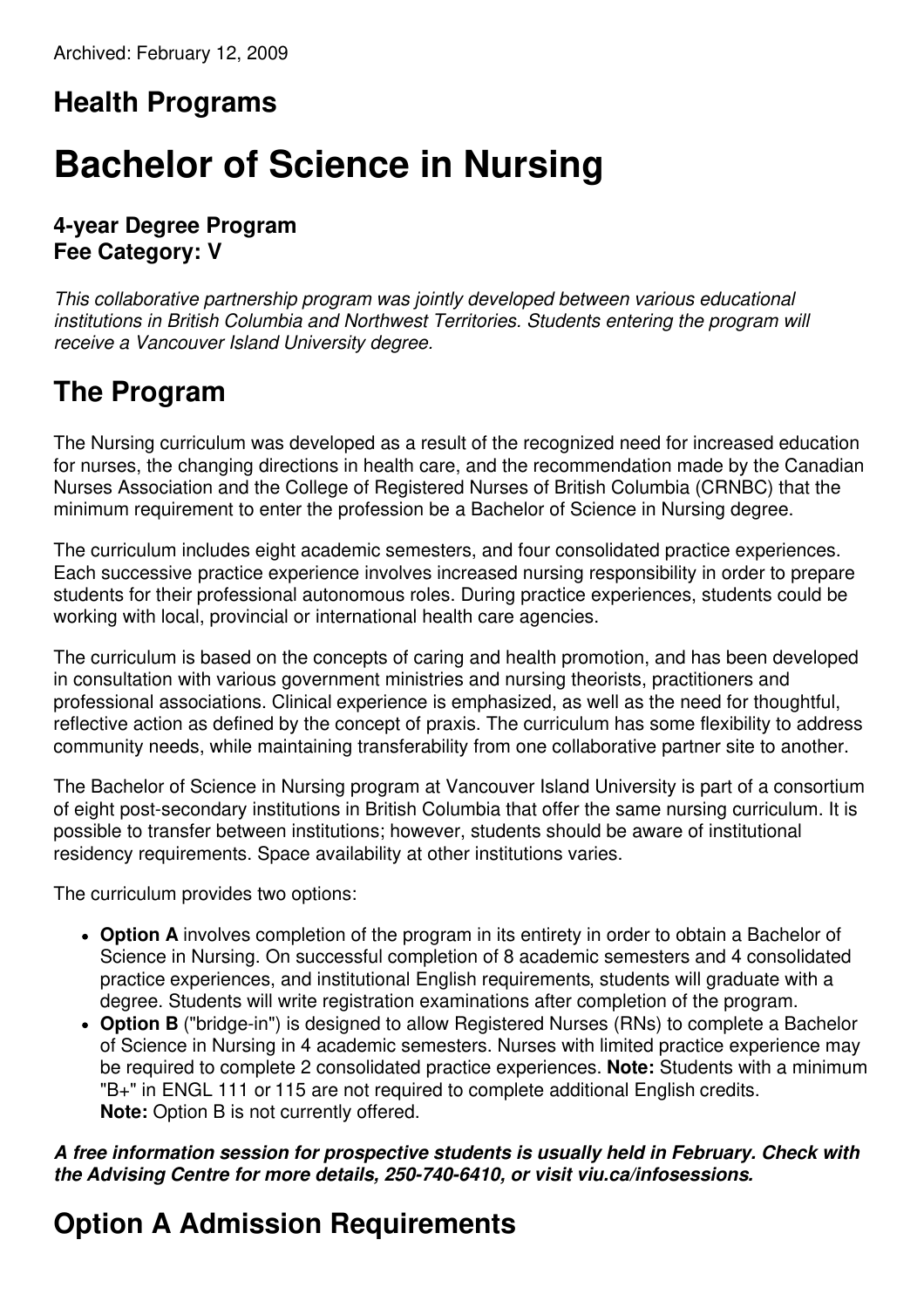#### **Health Programs**

# **Bachelor of Science in Nursing**

#### **4-year Degree Program Fee Category: V**

*This collaborative partnership program was jointly developed between various educational institutions in British Columbia and Northwest Territories. Students entering the program will receive a Vancouver Island University degree.*

# **The Program**

The Nursing curriculum was developed as a result of the recognized need for increased education for nurses, the changing directions in health care, and the recommendation made by the Canadian Nurses Association and the College of Registered Nurses of British Columbia (CRNBC) that the minimum requirement to enter the profession be a Bachelor of Science in Nursing degree.

The curriculum includes eight academic semesters, and four consolidated practice experiences. Each successive practice experience involves increased nursing responsibility in order to prepare students for their professional autonomous roles. During practice experiences, students could be working with local, provincial or international health care agencies.

The curriculum is based on the concepts of caring and health promotion, and has been developed in consultation with various government ministries and nursing theorists, practitioners and professional associations. Clinical experience is emphasized, as well as the need for thoughtful, reflective action as defined by the concept of praxis. The curriculum has some flexibility to address community needs, while maintaining transferability from one collaborative partner site to another.

The Bachelor of Science in Nursing program at Vancouver Island University is part of a consortium of eight post-secondary institutions in British Columbia that offer the same nursing curriculum. It is possible to transfer between institutions; however, students should be aware of institutional residency requirements. Space availability at other institutions varies.

The curriculum provides two options:

- **Option A** involves completion of the program in its entirety in order to obtain a Bachelor of Science in Nursing. On successful completion of 8 academic semesters and 4 consolidated practice experiences, and institutional English requirements, students will graduate with a degree. Students will write registration examinations after completion of the program.
- **Option B** ("bridge-in") is designed to allow Registered Nurses (RNs) to complete a Bachelor of Science in Nursing in 4 academic semesters. Nurses with limited practice experience may be required to complete 2 consolidated practice experiences. **Note:** Students with a minimum "B+" in ENGL 111 or 115 are not required to complete additional English credits. **Note:** Option B is not currently offered.

#### *A free information session for prospective students is usually held in February. Check with the Advising Centre for more details, 250-740-6410, or visit viu.ca/infosessions.*

# **Option A Admission Requirements**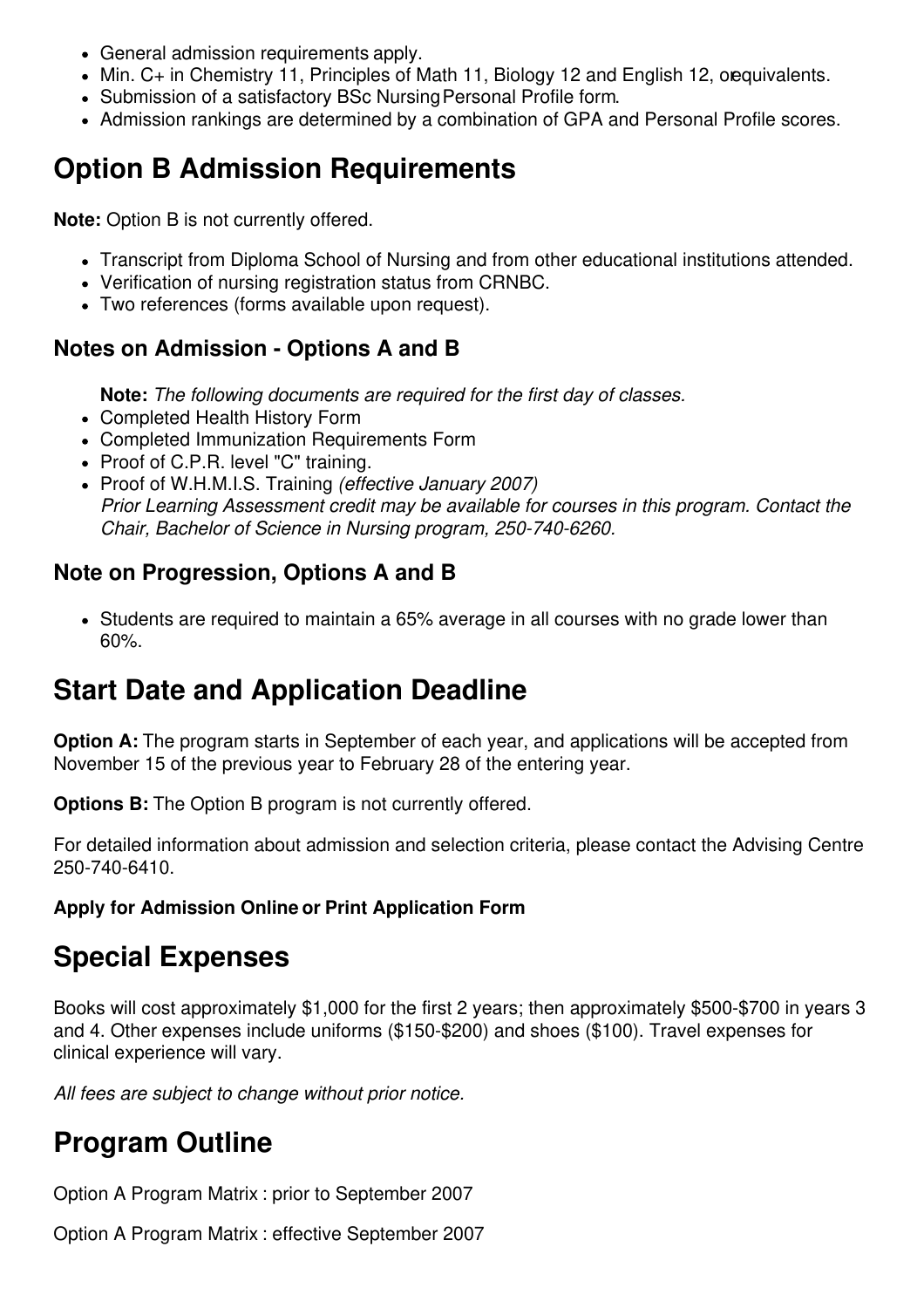- General admission requirements apply.
- Min. C+ in Chemistry 11, Principles of Math 11, Biology 12 and English 12, orequivalents.
- Submission of a satisfactory BSc Nursing Personal Profile form.
- Admission rankings are determined by a combination of GPA and Personal Profile scores.

## **Option B Admission Requirements**

**Note:** Option B is not currently offered.

- Transcript from Diploma School of Nursing and from other educational institutions attended.
- Verification of nursing registration status from CRNBC.
- Two references (forms available upon request).

#### **Notes on Admission - Options A and B**

**Note:** *The following documents are required for the first day of classes.*

- Completed Health History Form
- Completed Immunization Requirements Form
- Proof of C.P.R. level "C" training.
- Proof of W.H.M.I.S. Training *(effective January 2007) Prior Learning Assessment credit may be available for courses in this program. Contact the Chair, Bachelor of Science in Nursing program, 250-740-6260.*

#### **Note on Progression, Options A and B**

• Students are required to maintain a 65% average in all courses with no grade lower than 60%.

## **Start Date and Application Deadline**

**Option A:** The program starts in September of each year, and applications will be accepted from November 15 of the previous year to February 28 of the entering year.

**Options B:** The Option B program is not currently offered.

For detailed information about admission and selection criteria, please contact the Advising Centre 250-740-6410.

**Apply for Admission Online or Print Application Form**

## **Special Expenses**

Books will cost approximately \$1,000 for the first 2 years; then approximately \$500-\$700 in years 3 and 4. Other expenses include uniforms (\$150-\$200) and shoes (\$100). Travel expenses for clinical experience will vary.

*All fees are subject to change without prior notice.*

## **Program Outline**

Option A Program Matrix : prior to September 2007

Option A Program Matrix : effective September 2007